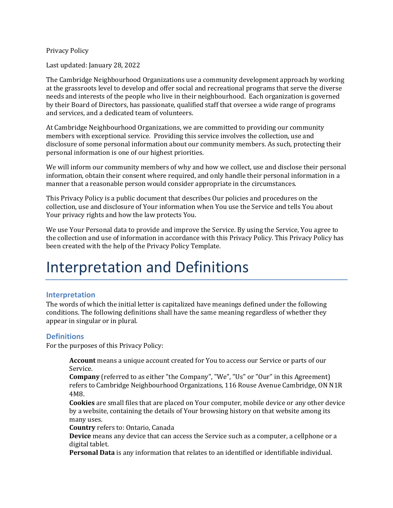Privacy Policy

Last updated: January 28, 2022

The Cambridge Neighbourhood Organizations use a community development approach by working at the grassroots level to develop and offer social and recreational programs that serve the diverse needs and interests of the people who live in their neighbourhood. Each organization is governed by their Board of Directors, has passionate, qualified staff that oversee a wide range of programs and services, and a dedicated team of volunteers.

At Cambridge Neighbourhood Organizations, we are committed to providing our community members with exceptional service. Providing this service involves the collection, use and disclosure of some personal information about our community members. As such, protecting their personal information is one of our highest priorities.

We will inform our community members of why and how we collect, use and disclose their personal information, obtain their consent where required, and only handle their personal information in a manner that a reasonable person would consider appropriate in the circumstances.

This Privacy Policy is a public document that describes Our policies and procedures on the collection, use and disclosure of Your information when You use the Service and tells You about Your privacy rights and how the law protects You.

We use Your Personal data to provide and improve the Service. By using the Service, You agree to the collection and use of information in accordance with this Privacy Policy. This Privacy Policy has been created with the help of th[e Privacy Policy Template.](https://www.freeprivacypolicy.com/blog/sample-privacy-policy-template/)

## Interpretation and Definitions

### **Interpretation**

The words of which the initial letter is capitalized have meanings defined under the following conditions. The following definitions shall have the same meaning regardless of whether they appear in singular or in plural.

### **Definitions**

For the purposes of this Privacy Policy:

**Account** means a unique account created for You to access our Service or parts of our Service.

**Company** (referred to as either "the Company", "We", "Us" or "Our" in this Agreement) refers to Cambridge Neighbourhood Organizations, 116 Rouse Avenue Cambridge, ON N1R 4M8.

**Cookies** are small files that are placed on Your computer, mobile device or any other device by a website, containing the details of Your browsing history on that website among its many uses.

**Country** refers to: Ontario, Canada

**Device** means any device that can access the Service such as a computer, a cellphone or a digital tablet.

**Personal Data** is any information that relates to an identified or identifiable individual.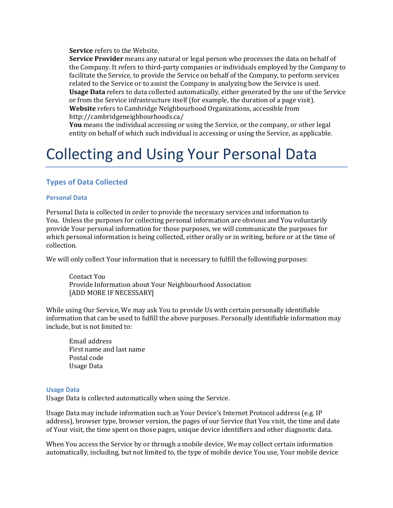**Service** refers to the Website.

**Service Provider** means any natural or legal person who processes the data on behalf of the Company. It refers to third-party companies or individuals employed by the Company to facilitate the Service, to provide the Service on behalf of the Company, to perform services related to the Service or to assist the Company in analyzing how the Service is used. **Usage Data** refers to data collected automatically, either generated by the use of the Service or from the Service infrastructure itself (for example, the duration of a page visit). **Website** refers to Cambridge Neighbourhood Organizations, accessible from <http://cambridgeneighbourhoods.ca/>

**You** means the individual accessing or using the Service, or the company, or other legal entity on behalf of which such individual is accessing or using the Service, as applicable.

## Collecting and Using Your Personal Data

## **Types of Data Collected**

#### **Personal Data**

Personal Data is collected in order to provide the necessary services and information to You. Unless the purposes for collecting personal information are obvious and You voluntarily provide Your personal information for those purposes, we will communicate the purposes for which personal information is being collected, either orally or in writing, before or at the time of collection.

We will only collect Your information that is necessary to fulfill the following purposes:

Contact You Provide Information about Your Neighbourhood Association [ADD MORE IF NECESSARY]

While using Our Service, We may ask You to provide Us with certain personally identifiable information that can be used to fulfill the above purposes. Personally identifiable information may include, but is not limited to:

Email address First name and last name Postal code Usage Data

#### **Usage Data**

Usage Data is collected automatically when using the Service.

Usage Data may include information such as Your Device's Internet Protocol address (e.g. IP address), browser type, browser version, the pages of our Service that You visit, the time and date of Your visit, the time spent on those pages, unique device identifiers and other diagnostic data.

When You access the Service by or through a mobile device, We may collect certain information automatically, including, but not limited to, the type of mobile device You use, Your mobile device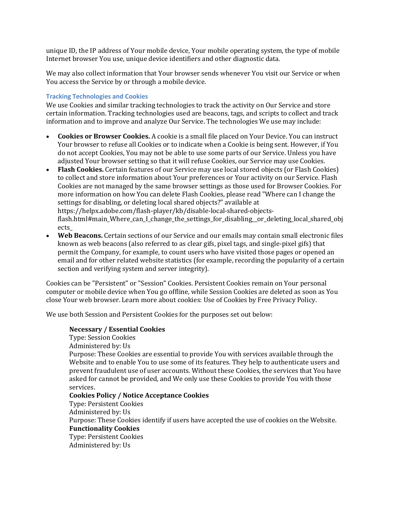unique ID, the IP address of Your mobile device, Your mobile operating system, the type of mobile Internet browser You use, unique device identifiers and other diagnostic data.

We may also collect information that Your browser sends whenever You visit our Service or when You access the Service by or through a mobile device.

#### **Tracking Technologies and Cookies**

We use Cookies and similar tracking technologies to track the activity on Our Service and store certain information. Tracking technologies used are beacons, tags, and scripts to collect and track information and to improve and analyze Our Service. The technologies We use may include:

- **Cookies or Browser Cookies.** A cookie is a small file placed on Your Device. You can instruct Your browser to refuse all Cookies or to indicate when a Cookie is being sent. However, if You do not accept Cookies, You may not be able to use some parts of our Service. Unless you have adjusted Your browser setting so that it will refuse Cookies, our Service may use Cookies.
- **Flash Cookies.** Certain features of our Service may use local stored objects (or Flash Cookies) to collect and store information about Your preferences or Your activity on our Service. Flash Cookies are not managed by the same browser settings as those used for Browser Cookies. For more information on how You can delete Flash Cookies, please read "Where can I change the settings for disabling, or deleting local shared objects?" available at [https://helpx.adobe.com/flash-player/kb/disable-local-shared-objects](https://helpx.adobe.com/flash-player/kb/disable-local-shared-objects-flash.html#main_Where_can_I_change_the_settings_for_disabling__or_deleting_local_shared_objects_)[flash.html#main\\_Where\\_can\\_I\\_change\\_the\\_settings\\_for\\_disabling\\_\\_or\\_deleting\\_local\\_shared\\_obj](https://helpx.adobe.com/flash-player/kb/disable-local-shared-objects-flash.html#main_Where_can_I_change_the_settings_for_disabling__or_deleting_local_shared_objects_) [ects\\_](https://helpx.adobe.com/flash-player/kb/disable-local-shared-objects-flash.html#main_Where_can_I_change_the_settings_for_disabling__or_deleting_local_shared_objects_)
- **Web Beacons.** Certain sections of our Service and our emails may contain small electronic files known as web beacons (also referred to as clear gifs, pixel tags, and single-pixel gifs) that permit the Company, for example, to count users who have visited those pages or opened an email and for other related website statistics (for example, recording the popularity of a certain section and verifying system and server integrity).

Cookies can be "Persistent" or "Session" Cookies. Persistent Cookies remain on Your personal computer or mobile device when You go offline, while Session Cookies are deleted as soon as You close Your web browser. Learn more about cookies: [Use of Cookies by Free Privacy Policy.](https://www.freeprivacypolicy.com/blog/sample-privacy-policy-template/#Use_Of_Cookies_And_Tracking)

We use both Session and Persistent Cookies for the purposes set out below:

#### **Necessary / Essential Cookies**

Type: Session Cookies Administered by: Us Purpose: These Cookies are essential to provide You with services available through the Website and to enable You to use some of its features. They help to authenticate users and prevent fraudulent use of user accounts. Without these Cookies, the services that You have asked for cannot be provided, and We only use these Cookies to provide You with those services.

### **Cookies Policy / Notice Acceptance Cookies**

Type: Persistent Cookies Administered by: Us

Purpose: These Cookies identify if users have accepted the use of cookies on the Website. **Functionality Cookies**

Type: Persistent Cookies Administered by: Us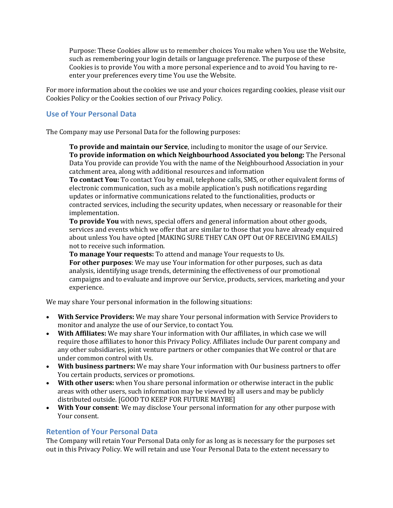Purpose: These Cookies allow us to remember choices You make when You use the Website, such as remembering your login details or language preference. The purpose of these Cookies is to provide You with a more personal experience and to avoid You having to reenter your preferences every time You use the Website.

For more information about the cookies we use and your choices regarding cookies, please visit our Cookies Policy or the Cookies section of our Privacy Policy.

### **Use of Your Personal Data**

The Company may use Personal Data for the following purposes:

**To provide and maintain our Service**, including to monitor the usage of our Service. **To provide information on which Neighbourhood Associated you belong:** The Personal Data You provide can provide You with the name of the Neighbourhood Association in your catchment area, along with additional resources and information

**To contact You:** To contact You by email, telephone calls, SMS, or other equivalent forms of electronic communication, such as a mobile application's push notifications regarding updates or informative communications related to the functionalities, products or contracted services, including the security updates, when necessary or reasonable for their implementation.

**To provide You** with news, special offers and general information about other goods, services and events which we offer that are similar to those that you have already enquired about unless You have opted [MAKING SURE THEY CAN OPT Out OF RECEIVING EMAILS) not to receive such information.

**To manage Your requests:** To attend and manage Your requests to Us. **For other purposes**: We may use Your information for other purposes, such as data analysis, identifying usage trends, determining the effectiveness of our promotional campaigns and to evaluate and improve our Service, products, services, marketing and your experience.

We may share Your personal information in the following situations:

- **With Service Providers:** We may share Your personal information with Service Providers to monitor and analyze the use of our Service, to contact You.
- **With Affiliates:** We may share Your information with Our affiliates, in which case we will require those affiliates to honor this Privacy Policy. Affiliates include Our parent company and any other subsidiaries, joint venture partners or other companies that We control or that are under common control with Us.
- **With business partners:** We may share Your information with Our business partners to offer You certain products, services or promotions.
- **With other users:** when You share personal information or otherwise interact in the public areas with other users, such information may be viewed by all users and may be publicly distributed outside. [GOOD TO KEEP FOR FUTURE MAYBE]
- **With Your consent**: We may disclose Your personal information for any other purpose with Your consent.

### **Retention of Your Personal Data**

The Company will retain Your Personal Data only for as long as is necessary for the purposes set out in this Privacy Policy. We will retain and use Your Personal Data to the extent necessary to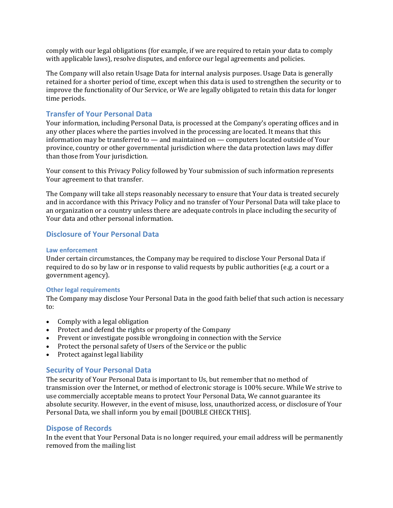comply with our legal obligations (for example, if we are required to retain your data to comply with applicable laws), resolve disputes, and enforce our legal agreements and policies.

The Company will also retain Usage Data for internal analysis purposes. Usage Data is generally retained for a shorter period of time, except when this data is used to strengthen the security or to improve the functionality of Our Service, or We are legally obligated to retain this data for longer time periods.

### **Transfer of Your Personal Data**

Your information, including Personal Data, is processed at the Company's operating offices and in any other places where the parties involved in the processing are located. It means that this information may be transferred to — and maintained on — computers located outside of Your province, country or other governmental jurisdiction where the data protection laws may differ than those from Your jurisdiction.

Your consent to this Privacy Policy followed by Your submission of such information represents Your agreement to that transfer.

The Company will take all steps reasonably necessary to ensure that Your data is treated securely and in accordance with this Privacy Policy and no transfer of Your Personal Data will take place to an organization or a country unless there are adequate controls in place including the security of Your data and other personal information.

### **Disclosure of Your Personal Data**

#### **Law enforcement**

Under certain circumstances, the Company may be required to disclose Your Personal Data if required to do so by law or in response to valid requests by public authorities (e.g. a court or a government agency).

#### **Other legal requirements**

The Company may disclose Your Personal Data in the good faith belief that such action is necessary to:

- Comply with a legal obligation
- Protect and defend the rights or property of the Company
- Prevent or investigate possible wrongdoing in connection with the Service
- Protect the personal safety of Users of the Service or the public
- Protect against legal liability

### **Security of Your Personal Data**

The security of Your Personal Data is important to Us, but remember that no method of transmission over the Internet, or method of electronic storage is 100% secure. While We strive to use commercially acceptable means to protect Your Personal Data, We cannot guarantee its absolute security. However, in the event of misuse, loss, unauthorized access, or disclosure of Your Personal Data, we shall inform you by email [DOUBLE CHECK THIS].

### **Dispose of Records**

In the event that Your Personal Data is no longer required, your email address will be permanently removed from the mailing list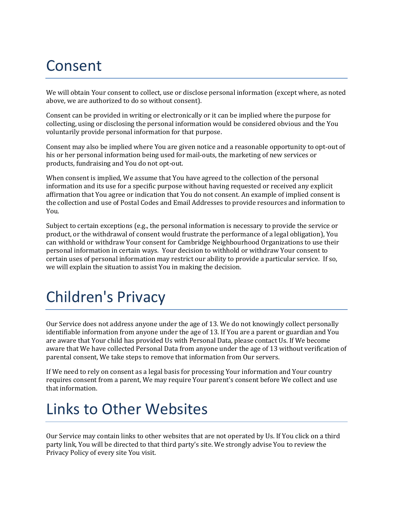# Consent

We will obtain Your consent to collect, use or disclose personal information (except where, as noted above, we are authorized to do so without consent).

Consent can be provided in writing or electronically or it can be implied where the purpose for collecting, using or disclosing the personal information would be considered obvious and the You voluntarily provide personal information for that purpose.

Consent may also be implied where You are given notice and a reasonable opportunity to opt-out of his or her personal information being used for mail-outs, the marketing of new services or products, fundraising and You do not opt-out.

When consent is implied, We assume that You have agreed to the collection of the personal information and its use for a specific purpose without having requested or received any explicit affirmation that You agree or indication that You do not consent. An example of implied consent is the collection and use of Postal Codes and Email Addresses to provide resources and information to You.

Subject to certain exceptions (e.g., the personal information is necessary to provide the service or product, or the withdrawal of consent would frustrate the performance of a legal obligation), You can withhold or withdraw Your consent for Cambridge Neighbourhood Organizations to use their personal information in certain ways. Your decision to withhold or withdraw Your consent to certain uses of personal information may restrict our ability to provide a particular service. If so, we will explain the situation to assist You in making the decision.

# Children's Privacy

Our Service does not address anyone under the age of 13. We do not knowingly collect personally identifiable information from anyone under the age of 13. If You are a parent or guardian and You are aware that Your child has provided Us with Personal Data, please contact Us. If We become aware that We have collected Personal Data from anyone under the age of 13 without verification of parental consent, We take steps to remove that information from Our servers.

If We need to rely on consent as a legal basis for processing Your information and Your country requires consent from a parent, We may require Your parent's consent before We collect and use that information.

# Links to Other Websites

Our Service may contain links to other websites that are not operated by Us. If You click on a third party link, You will be directed to that third party's site. We strongly advise You to review the Privacy Policy of every site You visit.